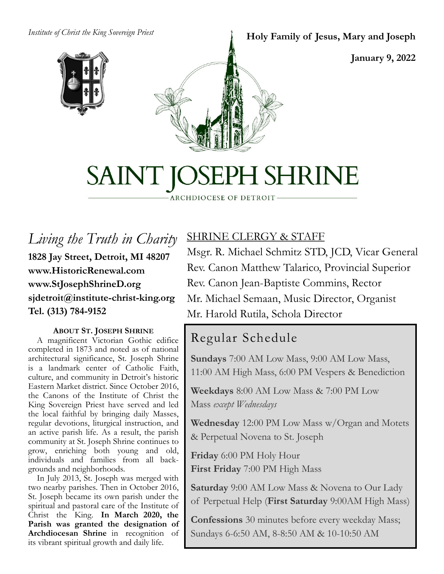#### *Institute of Christ the King Sovereign Priest*



#### **Holy Family of Jesus, Mary and Joseph**

**January 9, 2022**

# SAINT JOSEPH SHRINE

ARCHDIOCESE OF DETROIT

*Living the Truth in Charity* **1828 Jay Street, Detroit, MI 48207 www.HistoricRenewal.com www.StJosephShrineD.org sjdetroit@institute-christ-king.org Tel. (313) 784-9152**

#### **ABOUT ST. JOSEPH SHRINE**

 A magnificent Victorian Gothic edifice completed in 1873 and noted as of national architectural significance, St. Joseph Shrine is a landmark center of Catholic Faith, culture, and community in Detroit's historic Eastern Market district. Since October 2016, the Canons of the Institute of Christ the King Sovereign Priest have served and led the local faithful by bringing daily Masses, regular devotions, liturgical instruction, and an active parish life. As a result, the parish community at St. Joseph Shrine continues to grow, enriching both young and old, individuals and families from all backgrounds and neighborhoods.

 In July 2013, St. Joseph was merged with two nearby parishes. Then in October 2016, St. Joseph became its own parish under the spiritual and pastoral care of the Institute of Christ the King. **In March 2020, the Parish was granted the designation of Archdiocesan Shrine** in recognition of its vibrant spiritual growth and daily life.

#### SHRINE CLERGY & STAFF

Msgr. R. Michael Schmitz STD, JCD, Vicar General Rev. Canon Matthew Talarico, Provincial Superior Rev. Canon Jean-Baptiste Commins, Rector Mr. Michael Semaan, Music Director, Organist Mr. Harold Rutila, Schola Director

#### Regular Schedule

**Sundays** 7:00 AM Low Mass, 9:00 AM Low Mass, 11:00 AM High Mass, 6:00 PM Vespers & Benediction

**Weekdays** 8:00 AM Low Mass & 7:00 PM Low Mass *except Wednesdays*

**Wednesday** 12:00 PM Low Mass w/Organ and Motets & Perpetual Novena to St. Joseph

**Friday** 6:00 PM Holy Hour **First Friday** 7:00 PM High Mass

**Saturday** 9:00 AM Low Mass & Novena to Our Lady of Perpetual Help (**First Saturday** 9:00AM High Mass)

**Confessions** 30 minutes before every weekday Mass; Sundays 6-6:50 AM, 8-8:50 AM & 10-10:50 AM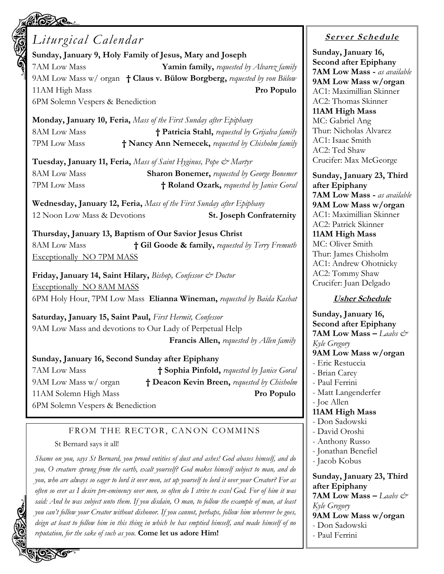### *Liturgical Calendar*

**Sunday, January 9, Holy Family of Jesus, Mary and Joseph** 7AM Low Mass **Yamin family,** *requested by Alvarez family* 9AM Low Mass w/ organ **† Claus v. Bülow Borgberg,** *requested by von Bülow* 11AM High Mass **Pro Populo** 6PM Solemn Vespers & Benediction

**Monday, January 10, Feria,** *Mass of the First Sunday after Epiphany* 8AM Low Mass **† Patricia Stahl,** *requested by Grijalva family* 7PM Low Mass **† Nancy Ann Nemecek,** *requested by Chisholm family*

**Tuesday, January 11, Feria,** *Mass of Saint Hyginus, Pope & Martyr* 8AM Low Mass **Sharon Bonemer,** *requested by George Bonemer* 7PM Low Mass **† Roland Ozark,** *requested by Janice Goral*

**Wednesday, January 12, Feria,** *Mass of the First Sunday after Epiphany* 12 Noon Low Mass & Devotions **St. Joseph Confraternity**

**Thursday, January 13, Baptism of Our Savior Jesus Christ** 8AM Low Mass **† Gil Goode & family,** *requested by Terry Fremuth* Exceptionally NO 7PM MASS

**Friday, January 14, Saint Hilary,** *Bishop, Confessor & Doctor* Exceptionally NO 8AM MASS 6PM Holy Hour, 7PM Low Mass **Elianna Wineman,** *requested by Baida Kashat*

**Saturday, January 15, Saint Paul,** *First Hermit, Confessor* 9AM Low Mass and devotions to Our Lady of Perpetual Help **Francis Allen,** *requested by Allen family*

#### **Sunday, January 16, Second Sunday after Epiphany**

7AM Low Mass **† Sophia Pinfold,** *requested by Janice Goral* 9AM Low Mass w/ organ **† Deacon Kevin Breen,** *requested by Chisholm* 11AM Solemn High Mass **Pro Populo**

6PM Solemn Vespers & Benediction

#### FROM THE RECTOR, CANON COMMINS

#### St Bernard says it all!

*Shame on you, says St Bernard, you proud entities of dust and ashes! God abases himself, and do you, O creature sprung from the earth, exalt yourself? God makes himself subject to man, and do you, who are always so eager to lord it over men, set up yourself to lord it over your Creator? For as often so ever as I desire pre-eminency over men, so often do I strive to excel God. For of him it was said: And he was subject unto them. If you disdain, O man, to follow the example of man, at least you can't follow your Creator without dishonor. If you cannot, perhaps, follow him wherever he goes, deign at least to follow him in this thing in which he has emptied himself, and made himself of no reputation, for the sake of such as you.* **Come let us adore Him!**

#### **<sup>S</sup> <sup>e</sup> rv er <sup>S</sup> <sup>c</sup> he du le**

**Sunday, January 16, Second after Epiphany 7AM Low Mass -** *as available* **9AM Low Mass w/organ** AC1: Maximillian Skinner AC2: Thomas Skinner **11AM High Mass** MC: Gabriel Ang Thur: Nicholas Alvarez AC1: Isaac Smith AC2: Ted Shaw Crucifer: Max McGeorge

**Sunday, January 23, Third after Epiphany 7AM Low Mass -** *as available* **9AM Low Mass w/organ** AC1: Maximillian Skinner AC2: Patrick Skinner **11AM High Mass** MC: Oliver Smith Thur: James Chisholm AC1: Andrew Ohotnicky AC2: Tommy Shaw Crucifer: Juan Delgado

#### **Usher Schedule**

**Sunday, January 16, Second after Epiphany 7AM Low Mass –** *Laabs & Kyle Gregory* **9AM Low Mass w/organ** - Eric Restuccia - Brian Carey - Paul Ferrini - Matt Langenderfer - Joe Allen **11AM High Mass** - Don Sadowski - David Oroshi - Anthony Russo - Jonathan Benefiel - Jacob Kobus **Sunday, January 23, Third after Epiphany 7AM Low Mass –** *Laabs & Kyle Gregory* **9AM Low Mass w/organ** - Don Sadowski - Paul Ferrini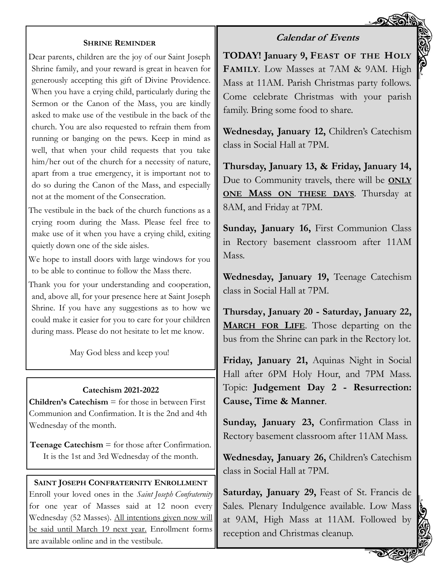#### **Calendar of Events**

#### **SHRINE REMINDER**

Dear parents, children are the joy of our Saint Joseph Shrine family, and your reward is great in heaven for generously accepting this gift of Divine Providence. When you have a crying child, particularly during the Sermon or the Canon of the Mass, you are kindly asked to make use of the vestibule in the back of the church. You are also requested to refrain them from running or banging on the pews. Keep in mind as well, that when your child requests that you take him/her out of the church for a necessity of nature, apart from a true emergency, it is important not to do so during the Canon of the Mass, and especially not at the moment of the Consecration.

The vestibule in the back of the church functions as a crying room during the Mass. Please feel free to make use of it when you have a crying child, exiting quietly down one of the side aisles.

We hope to install doors with large windows for you to be able to continue to follow the Mass there.

Thank you for your understanding and cooperation, and, above all, for your presence here at Saint Joseph Shrine. If you have any suggestions as to how we could make it easier for you to care for your children during mass. Please do not hesitate to let me know.

May God bless and keep you!

#### **Catechism 2021-2022**

**Children's Catechism**  $\equiv$  for those in between First Communion and Confirmation. It is the 2nd and 4th Wednesday of the month.

**Teenage Catechism** = for those after Confirmation. It is the 1st and 3rd Wednesday of the month.

#### **SAINT JOSEPH CONFRATERNITY ENROLLMENT**

Enroll your loved ones in the *Saint Joseph Confraternity*  for one year of Masses said at 12 noon every Wednesday (52 Masses). All intentions given now will be said until March 19 next year. Enrollment forms are available online and in the vestibule.

**TODAY! January 9, FEAST OF THE HOLY FAMILY**. Low Masses at 7AM & 9AM. High Mass at 11AM. Parish Christmas party follows. Come celebrate Christmas with your parish family. Bring some food to share.

**Wednesday, January 12,** Children's Catechism class in Social Hall at 7PM.

**Thursday, January 13, & Friday, January 14,** Due to Community travels, there will be **ONLY ONE MASS ON THESE DAYS**. Thursday at 8AM, and Friday at 7PM.

**Sunday, January 16,** First Communion Class in Rectory basement classroom after 11AM Mass.

**Wednesday, January 19,** Teenage Catechism class in Social Hall at 7PM.

**Thursday, January 20 - Saturday, January 22, MARCH FOR LIFE**. Those departing on the bus from the Shrine can park in the Rectory lot.

**Friday, January 21,** Aquinas Night in Social Hall after 6PM Holy Hour, and 7PM Mass. Topic: **Judgement Day 2 - Resurrection: Cause, Time & Manner**.

**Sunday, January 23,** Confirmation Class in Rectory basement classroom after 11AM Mass.

**Wednesday, January 26,** Children's Catechism class in Social Hall at 7PM.

**Saturday, January 29,** Feast of St. Francis de Sales. Plenary Indulgence available. Low Mass at 9AM, High Mass at 11AM. Followed by reception and Christmas cleanup.